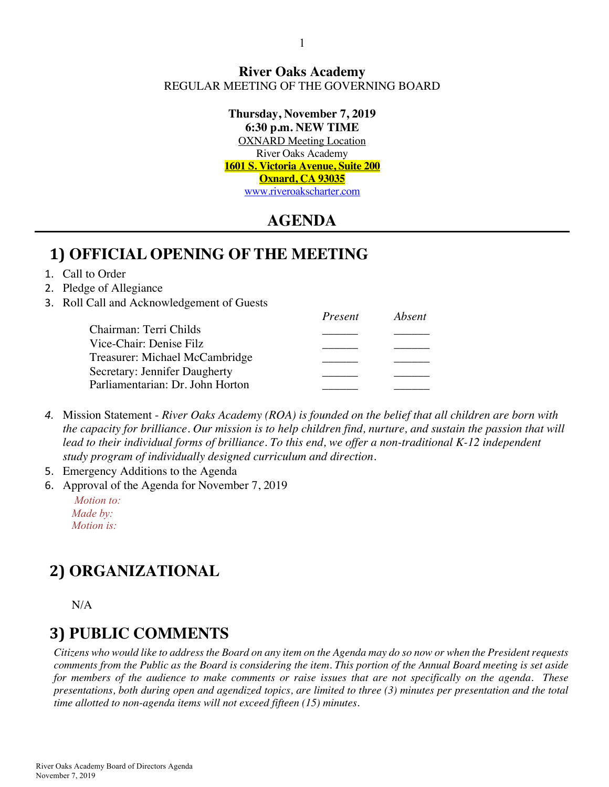#### **River Oaks Academy** REGULAR MEETING OF THE GOVERNING BOARD

**Thursday, November 7, 2019 6:30 p.m. NEW TIME** OXNARD Meeting Location River Oaks Academy **1601 S. Victoria Avenue, Suite 200 Oxnard, CA 93035** www.riveroakscharter.com

## **AGENDA**

#### **1) OFFICIAL OPENING OF THE MEETING**

#### 1. Call to Order

#### 2. Pledge of Allegiance

3. Roll Call and Acknowledgement of Guests

|                                  | Present | Absent |
|----------------------------------|---------|--------|
| Chairman: Terri Childs           |         |        |
| Vice-Chair: Denise Filz          |         |        |
| Treasurer: Michael McCambridge   |         |        |
| Secretary: Jennifer Daugherty    |         |        |
| Parliamentarian: Dr. John Horton |         |        |

- *4.* Mission Statement *River Oaks Academy (ROA) is founded on the belief that all children are born with the capacity for brilliance. Our mission is to help children find, nurture, and sustain the passion that will*  lead to their individual forms of brilliance. To this end, we offer a non-traditional K-12 independent *study program of individually designed curriculum and direction.*
- 5. Emergency Additions to the Agenda
- 6. Approval of the Agenda for November 7, 2019

*Motion to: Made by: Motion is:*

# **2) ORGANIZATIONAL**

N/A

#### **3) PUBLIC COMMENTS**

*Citizens who would like to address the Board on any item on the Agenda may do so now or when the President requests comments from the Public as the Board is considering the item. This portion of the Annual Board meeting is set aside for members of the audience to make comments or raise issues that are not specifically on the agenda. These presentations, both during open and agendized topics, are limited to three (3) minutes per presentation and the total time allotted to non-agenda items will not exceed fifteen (15) minutes.*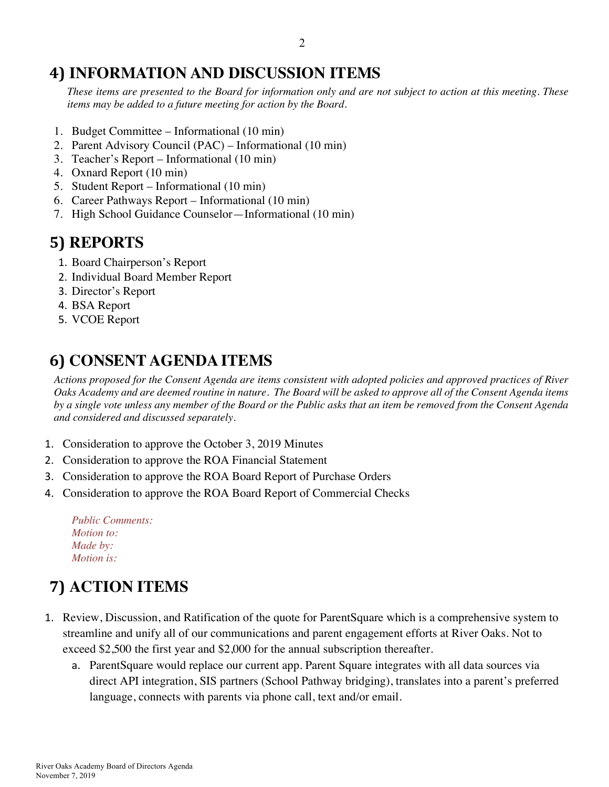## **4) INFORMATION AND DISCUSSION ITEMS**

*These items are presented to the Board for information only and are not subject to action at this meeting. These items may be added to a future meeting for action by the Board.*

- 1. Budget Committee Informational (10 min)
- 2. Parent Advisory Council (PAC) Informational (10 min)
- 3. Teacher's Report Informational (10 min)
- 4. Oxnard Report (10 min)
- 5. Student Report Informational (10 min)
- 6. Career Pathways Report Informational (10 min)
- 7. High School Guidance Counselor—Informational (10 min)

# **5) REPORTS**

- 1. Board Chairperson's Report
- 2. Individual Board Member Report
- 3. Director's Report
- 4. BSA Report
- 5. VCOE Report

# **6) CONSENT AGENDA ITEMS**

*Actions proposed for the Consent Agenda are items consistent with adopted policies and approved practices of River Oaks Academy and are deemed routine in nature. The Board will be asked to approve all of the Consent Agenda items by a single vote unless any member of the Board or the Public asks that an item be removed from the Consent Agenda and considered and discussed separately.*

- 1. Consideration to approve the October 3, 2019 Minutes
- 2. Consideration to approve the ROA Financial Statement
- 3. Consideration to approve the ROA Board Report of Purchase Orders
- 4. Consideration to approve the ROA Board Report of Commercial Checks

*Public Comments: Motion to: Made by: Motion is:*

# **7) ACTION ITEMS**

- 1. Review, Discussion, and Ratification of the quote for ParentSquare which is a comprehensive system to streamline and unify all of our communications and parent engagement efforts at River Oaks. Not to exceed \$2,500 the first year and \$2,000 for the annual subscription thereafter.
	- a. ParentSquare would replace our current app. Parent Square integrates with all data sources via direct API integration, SIS partners (School Pathway bridging), translates into a parent's preferred language, connects with parents via phone call, text and/or email.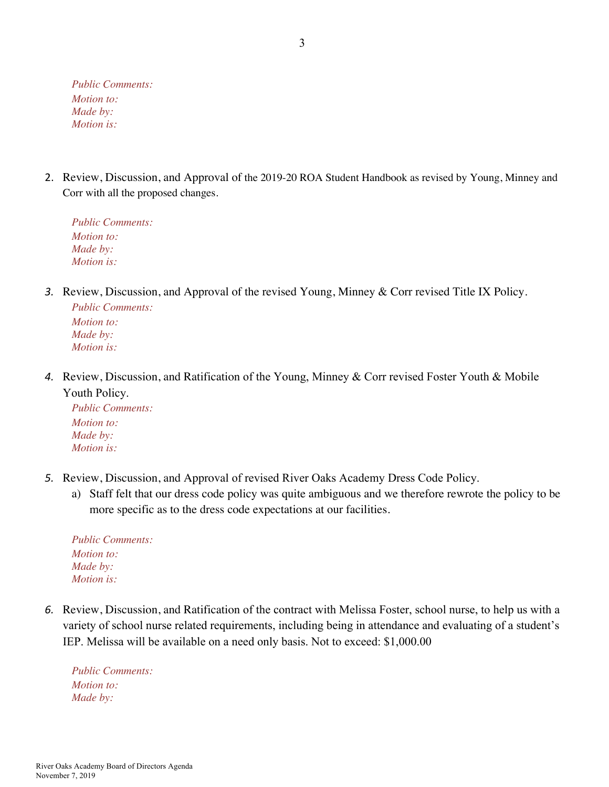*Public Comments: Motion to: Made by: Motion is:*

2. Review, Discussion, and Approval of the 2019-20 ROA Student Handbook as revised by Young, Minney and Corr with all the proposed changes.

*Public Comments: Motion to: Made by: Motion is:*

*3.* Review, Discussion, and Approval of the revised Young, Minney & Corr revised Title IX Policy.

*Public Comments: Motion to: Made by: Motion is:*

*4.* Review, Discussion, and Ratification of the Young, Minney & Corr revised Foster Youth & Mobile Youth Policy.

*Public Comments: Motion to: Made by: Motion is:*

- *5.* Review, Discussion, and Approval of revised River Oaks Academy Dress Code Policy.
	- a) Staff felt that our dress code policy was quite ambiguous and we therefore rewrote the policy to be more specific as to the dress code expectations at our facilities.

| <b>Public Comments:</b> |
|-------------------------|
| <i>Motion to:</i>       |
| Made by:                |
| <i>Motion is:</i>       |

*6.* Review, Discussion, and Ratification of the contract with Melissa Foster, school nurse, to help us with a variety of school nurse related requirements, including being in attendance and evaluating of a student's IEP. Melissa will be available on a need only basis. Not to exceed: \$1,000.00

*Public Comments: Motion to: Made by:*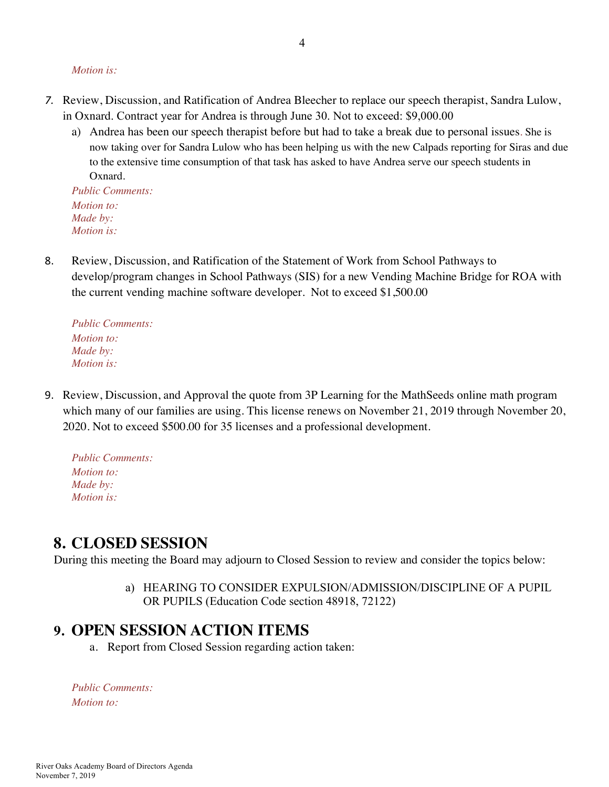#### *Motion is:*

- *7.* Review, Discussion, and Ratification of Andrea Bleecher to replace our speech therapist, Sandra Lulow, in Oxnard. Contract year for Andrea is through June 30. Not to exceed: \$9,000.00
	- a) Andrea has been our speech therapist before but had to take a break due to personal issues*.* She is now taking over for Sandra Lulow who has been helping us with the new Calpads reporting for Siras and due to the extensive time consumption of that task has asked to have Andrea serve our speech students in Oxnard.

*Public Comments: Motion to: Made by: Motion is:*

8. Review, Discussion, and Ratification of the Statement of Work from School Pathways to develop/program changes in School Pathways (SIS) for a new Vending Machine Bridge for ROA with the current vending machine software developer. Not to exceed \$1,500.00

*Public Comments: Motion to: Made by: Motion is:*

9. Review, Discussion, and Approval the quote from 3P Learning for the MathSeeds online math program which many of our families are using. This license renews on November 21, 2019 through November 20, 2020. Not to exceed \$500.00 for 35 licenses and a professional development.

*Public Comments: Motion to: Made by: Motion is:*

#### **8. CLOSED SESSION**

During this meeting the Board may adjourn to Closed Session to review and consider the topics below:

a) HEARING TO CONSIDER EXPULSION/ADMISSION/DISCIPLINE OF A PUPIL OR PUPILS (Education Code section 48918, 72122)

#### **9. OPEN SESSION ACTION ITEMS**

a. Report from Closed Session regarding action taken:

*Public Comments: Motion to:*